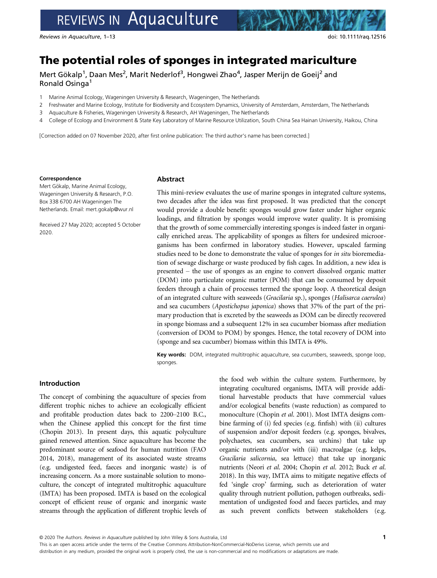# REVIEWS IN Aquaculture

Reviews in Aquaculture, 1–13 doi: 10.1111/raq.12516

# The potential roles of sponges in integrated mariculture

Mert Gökalp<sup>1</sup>, Daan Mes<sup>2</sup>, Marit Nederlof<sup>3</sup>, Hongwei Zhao<sup>4</sup>, Jasper Merijn de Goeij<sup>2</sup> and Ronald Osinga<sup>1</sup>

- 1 Marine Animal Ecology, Wageningen University & Research, Wageningen, The Netherlands
- 2 Freshwater and Marine Ecology, Institute for Biodiversity and Ecosystem Dynamics, University of Amsterdam, Amsterdam, The Netherlands
- 3 Aquaculture & Fisheries, Wageningen University & Research, AH Wageningen, The Netherlands
- 4 College of Ecology and Environment & State Key Laboratory of Marine Resource Utilization, South China Sea Hainan University, Haikou, China

[Correction added on 07 November 2020, after first online publication: The third author's name has been corrected.]

#### Correspondence

Mert Gökalp, Marine Animal Ecology, Wageningen University & Research, P.O. Box 338 6700 AH Wageningen The Netherlands. Email: [mert.gokalp@wur.nl](mailto:)

Received 27 May 2020; accepted 5 October 2020.

#### Abstract

This mini-review evaluates the use of marine sponges in integrated culture systems, two decades after the idea was first proposed. It was predicted that the concept would provide a double benefit: sponges would grow faster under higher organic loadings, and filtration by sponges would improve water quality. It is promising that the growth of some commercially interesting sponges is indeed faster in organically enriched areas. The applicability of sponges as filters for undesired microorganisms has been confirmed in laboratory studies. However, upscaled farming studies need to be done to demonstrate the value of sponges for *in situ* bioremediation of sewage discharge or waste produced by fish cages. In addition, a new idea is presented – the use of sponges as an engine to convert dissolved organic matter (DOM) into particulate organic matter (POM) that can be consumed by deposit feeders through a chain of processes termed the sponge loop. A theoretical design of an integrated culture with seaweeds (Gracilaria sp.), sponges (Halisarca caerulea) and sea cucumbers (Apostichopus japonica) shows that 37% of the part of the primary production that is excreted by the seaweeds as DOM can be directly recovered in sponge biomass and a subsequent 12% in sea cucumber biomass after mediation (conversion of DOM to POM) by sponges. Hence, the total recovery of DOM into (sponge and sea cucumber) biomass within this IMTA is 49%.

Key words: DOM, integrated multitrophic aquaculture, sea cucumbers, seaweeds, sponge loop, sponges.

#### Introduction

The concept of combining the aquaculture of species from different trophic niches to achieve an ecologically efficient and profitable production dates back to 2200–2100 B.C., when the Chinese applied this concept for the first time (Chopin 2013). In present days, this aquatic polyculture gained renewed attention. Since aquaculture has become the predominant source of seafood for human nutrition (FAO 2014, 2018), management of its associated waste streams (e.g. undigested feed, faeces and inorganic waste) is of increasing concern. As a more sustainable solution to monoculture, the concept of integrated multitrophic aquaculture (IMTA) has been proposed. IMTA is based on the ecological concept of efficient reuse of organic and inorganic waste streams through the application of different trophic levels of

the food web within the culture system. Furthermore, by integrating cocultured organisms, IMTA will provide additional harvestable products that have commercial values and/or ecological benefits (waste reduction) as compared to monoculture (Chopin et al. 2001). Most IMTA designs combine farming of (i) fed species (e.g. finfish) with (ii) cultures of suspension and/or deposit feeders (e.g. sponges, bivalves, polychaetes, sea cucumbers, sea urchins) that take up organic nutrients and/or with (iii) macroalgae (e.g. kelps, Gracilaria salicornia, sea lettuce) that take up inorganic nutrients (Neori et al. 2004; Chopin et al. 2012; Buck et al. 2018). In this way, IMTA aims to mitigate negative effects of fed 'single crop' farming, such as deterioration of water quality through nutrient pollution, pathogen outbreaks, sedimentation of undigested food and faeces particles, and may as such prevent conflicts between stakeholders (e.g.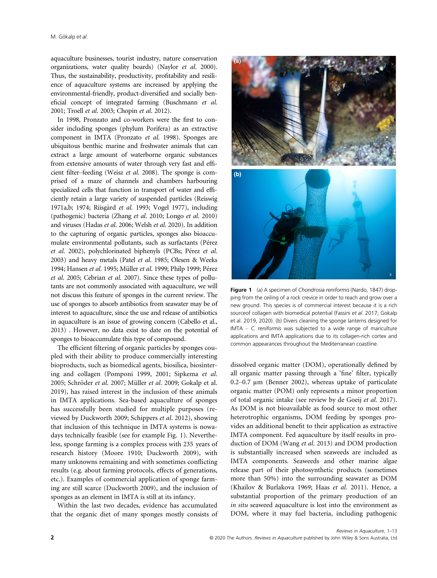aquaculture businesses, tourist industry, nature conservation organizations, water quality boards) (Naylor et al. 2000). Thus, the sustainability, productivity, profitability and resilience of aquaculture systems are increased by applying the environmental-friendly, product-diversified and socially beneficial concept of integrated farming (Buschmann et al. 2001; Troell et al. 2003; Chopin et al. 2012).

In 1998, Pronzato and co-workers were the first to consider including sponges (phylum Porifera) as an extractive component in IMTA (Pronzato et al. 1998). Sponges are ubiquitous benthic marine and freshwater animals that can extract a large amount of waterborne organic substances from extensive amounts of water through very fast and efficient filter–feeding (Weisz et al. 2008). The sponge is comprised of a maze of channels and chambers harbouring specialized cells that function in transport of water and efficiently retain a large variety of suspended particles (Reiswig 1971a,b; 1974; Riisgård *et al.* 1993; Vogel 1977), including (pathogenic) bacteria (Zhang et al. 2010; Longo et al. 2010) and viruses (Hadas et al. 2006; Welsh et al. 2020). In addition to the capturing of organic particles, sponges also bioaccumulate environmental pollutants, such as surfactants (Pérez et al. 2002), polychlorinated biphenyls (PCBs; Pérez et al. 2003) and heavy metals (Patel et al. 1985; Olesen & Weeks 1994; Hansen et al. 1995; Müller et al. 1999; Philp 1999; Pérez et al. 2005; Cebrian et al. 2007). Since these types of pollutants are not commonly associated with aquaculture, we will not discuss this feature of sponges in the current review. The use of sponges to absorb antibiotics from seawater may be of interest to aquaculture, since the use and release of antibiotics in aquaculture is an issue of growing concern (Cabello et al., 2013) . However, no data exist to date on the potential of sponges to bioaccumulate this type of compound.

The efficient filtering of organic particles by sponges coupled with their ability to produce commercially interesting bioproducts, such as biomedical agents, biosilica, biosintering and collagen (Pomponi 1999, 2001; Sipkema et al. 2005; Schröder et al. 2007; Müller et al. 2009; Gokalp et al. 2019), has raised interest in the inclusion of these animals in IMTA applications. Sea-based aquaculture of sponges has successfully been studied for multiple purposes (reviewed by Duckworth 2009; Schippers et al. 2012), showing that inclusion of this technique in IMTA systems is nowadays technically feasible (see for example Fig. 1). Nevertheless, sponge farming is a complex process with 235 years of research history (Moore 1910; Duckworth 2009), with many unknowns remaining and with sometimes conflicting results (e.g. about farming protocols, effects of generations, etc.). Examples of commercial application of sponge farming are still scarce (Duckworth 2009), and the inclusion of sponges as an element in IMTA is still at its infancy.

Within the last two decades, evidence has accumulated that the organic diet of many sponges mostly consists of



Figure 1 (a) A specimen of Chondrosia reniformis (Nardo, 1847) dropping from the ceiling of a rock crevice in order to reach and grow over a new ground. This species is of commercial interest because it is a rich sourceof collagen with biomedical potential (Fassini et al. 2017; Gokalp et al. 2019, 2020). (b) Divers cleaning the sponge lanterns designed for IMTA – C. reniformis was subjected to a wide range of mariculture applications and IMTA applications due to its collagen-rich cortex and common appearances throughout the Mediterranean coastline.

dissolved organic matter (DOM), operationally defined by all organic matter passing through a 'fine' filter, typically 0.2–0.7 µm (Benner 2002), whereas uptake of particulate organic matter (POM) only represents a minor proportion of total organic intake (see review by de Goeij et al. 2017). As DOM is not bioavailable as food source to most other heterotrophic organisms, DOM feeding by sponges provides an additional benefit to their application as extractive IMTA component. Fed aquaculture by itself results in production of DOM (Wang et al. 2013) and DOM production is substantially increased when seaweeds are included as IMTA components. Seaweeds and other marine algae release part of their photosynthetic products (sometimes more than 50%) into the surrounding seawater as DOM (Khailov & Burlakova 1969; Haas et al. 2011). Hence, a substantial proportion of the primary production of an in situ seaweed aquaculture is lost into the environment as DOM, where it may fuel bacteria, including pathogenic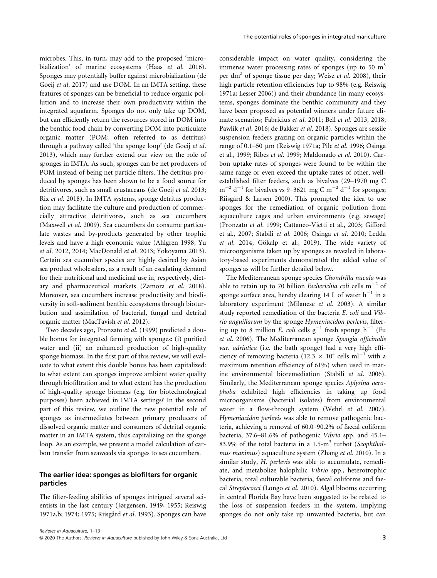microbes. This, in turn, may add to the proposed 'microbialization' of marine ecosystems (Haas et al. 2016). Sponges may potentially buffer against microbialization (de Goeij et al. 2017) and use DOM. In an IMTA setting, these features of sponges can be beneficial to reduce organic pollution and to increase their own productivity within the integrated aquafarm. Sponges do not only take up DOM, but can efficiently return the resources stored in DOM into the benthic food chain by converting DOM into particulate organic matter (POM; often referred to as detritus) through a pathway called 'the sponge loop' (de Goeij et al. 2013), which may further extend our view on the role of sponges in IMTA. As such, sponges can be net producers of POM instead of being net particle filters. The detritus produced by sponges has been shown to be a food source for detritivores, such as small crustaceans (de Goeij et al. 2013; Rix et al. 2018). In IMTA systems, sponge detritus production may facilitate the culture and production of commercially attractive detritivores, such as sea cucumbers (Maxwell et al. 2009). Sea cucumbers do consume particulate wastes and by-products generated by other trophic levels and have a high economic value (Ahlgren 1998; Yu et al. 2012, 2014; MacDonald et al. 2013; Yokoyama 2013). Certain sea cucumber species are highly desired by Asian sea product wholesalers, as a result of an escalating demand for their nutritional and medicinal use in, respectively, dietary and pharmaceutical markets (Zamora et al. 2018). Moreover, sea cucumbers increase productivity and biodiversity in soft-sediment benthic ecosystems through bioturbation and assimilation of bacterial, fungal and detrital organic matter (MacTavish et al. 2012).

Two decades ago, Pronzato et al. (1999) predicted a double bonus for integrated farming with sponges: (i) purified water and (ii) an enhanced production of high-quality sponge biomass. In the first part of this review, we will evaluate to what extent this double bonus has been capitalized: to what extent can sponges improve ambient water quality through biofiltration and to what extent has the production of high-quality sponge biomass (e.g. for biotechnological purposes) been achieved in IMTA settings? In the second part of this review, we outline the new potential role of sponges as intermediates between primary producers of dissolved organic matter and consumers of detrital organic matter in an IMTA system, thus capitalizing on the sponge loop. As an example, we present a model calculation of carbon transfer from seaweeds via sponges to sea cucumbers.

### The earlier idea: sponges as biofilters for organic particles

The filter-feeding abilities of sponges intrigued several scientists in the last century (Jørgensen, 1949, 1955; Reiswig 1971a,b; 1974; 1975; Riisgård et al. 1993). Sponges can have

considerable impact on water quality, considering the immense water processing rates of sponges (up to 50  $m<sup>3</sup>$ ) per dm<sup>3</sup> of sponge tissue per day; Weisz et al. 2008), their high particle retention efficiencies (up to 98% (e.g. Reiswig 1971a; Lesser 2006)) and their abundance (in many ecosystems, sponges dominate the benthic community and they have been proposed as potential winners under future climate scenarios; Fabricius et al. 2011; Bell et al. 2013, 2018; Pawlik et al. 2016; de Bakker et al. 2018). Sponges are sessile suspension feeders grazing on organic particles within the range of 0.1–50  $\mu$ m (Reiswig 1971a; Pile et al. 1996; Osinga et al., 1999; Ribes et al. 1999; Maldonado et al. 2010). Carbon uptake rates of sponges were found to be within the same range or even exceed the uptake rates of other, wellestablished filter feeders, such as bivalves (29–1970 mg C  $m^{-2}$  d<sup>-1</sup> for bivalves vs 9–3621 mg C m<sup>-2</sup> d<sup>-1</sup> for sponges; Riisgård & Larsen 2000). This prompted the idea to use sponges for the remediation of organic pollution from aquaculture cages and urban environments (e.g. sewage) (Pronzato et al. 1999; Cattaneo-Vietti et al., 2003; Gifford et al., 2007; Stabili et al. 2006; Osinga et al. 2010; Ledda et al. 2014; Gökalp et al., 2019). The wide variety of microorganisms taken up by sponges as revealed in laboratory-based experiments demonstrated the added value of sponges as will be further detailed below.

The Mediterranean sponge species Chondrilla nucula was able to retain up to 70 billion *Escherichia coli* cells  $m^{-2}$  of sponge surface area, hereby clearing 14 L of water  $h^{-1}$  in a laboratory experiment (Milanese et al. 2003). A similar study reported remediation of the bacteria E. coli and Vibrio anguillarum by the sponge Hymeniacidon perlevis, filtering up to 8 million E. coli cells  $g^{-1}$  fresh sponge h<sup>-1</sup> (Fu et al. 2006). The Mediterranean sponge Spongia officinalis var. adriatica (i.e. the bath sponge) had a very high efficiency of removing bacteria (12.3  $\times$  10<sup>4</sup> cells ml<sup>-1</sup> with a maximum retention efficiency of 61%) when used in marine environmental bioremediation (Stabili et al. 2006). Similarly, the Mediterranean sponge species Aplysina aerophoba exhibited high efficiencies in taking up food microorganisms (bacterial isolates) from environmental water in a flow-through system (Wehrl et al. 2007). Hymeniacidon perlevis was able to remove pathogenic bacteria, achieving a removal of 60.0–90.2% of faecal coliform bacteria, 37.6–81.6% of pathogenic Vibrio spp. and 45.1– 83.9% of the total bacteria in a  $1.5\text{-m}^3$  turbot (Scophthalmus maximus) aquaculture system (Zhang et al. 2010). In a similar study, H. perlevis was able to accumulate, remediate, and metabolize halophilic Vibrio spp., heterotrophic bacteria, total culturable bacteria, faecal coliforms and faecal Streptococci (Longo et al. 2010). Algal blooms occurring in central Florida Bay have been suggested to be related to the loss of suspension feeders in the system, implying sponges do not only take up unwanted bacteria, but can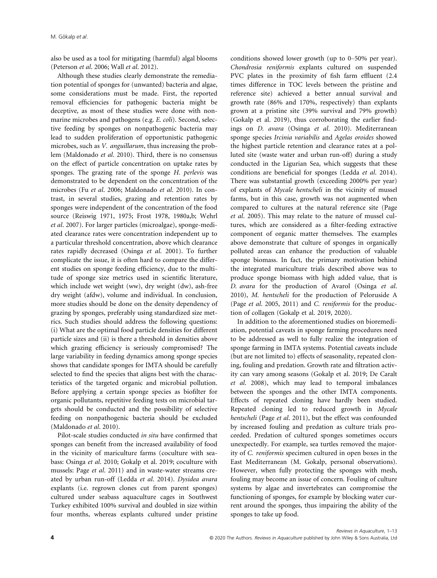also be used as a tool for mitigating (harmful) algal blooms (Peterson et al. 2006; Wall et al. 2012).

Although these studies clearly demonstrate the remediation potential of sponges for (unwanted) bacteria and algae, some considerations must be made. First, the reported removal efficiencies for pathogenic bacteria might be deceptive, as most of these studies were done with nonmarine microbes and pathogens (e.g. E. coli). Second, selective feeding by sponges on nonpathogenic bacteria may lead to sudden proliferation of opportunistic pathogenic microbes, such as V. anguillarum, thus increasing the problem (Maldonado et al. 2010). Third, there is no consensus on the effect of particle concentration on uptake rates by sponges. The grazing rate of the sponge H. perlevis was demonstrated to be dependent on the concentration of the microbes (Fu et al. 2006; Maldonado et al. 2010). In contrast, in several studies, grazing and retention rates by sponges were independent of the concentration of the food source (Reiswig 1971, 1975; Frost 1978, 1980a,b; Wehrl et al. 2007). For larger particles (microalgae), sponge-mediated clearance rates were concentration independent up to a particular threshold concentration, above which clearance rates rapidly decreased (Osinga et al. 2001). To further complicate the issue, it is often hard to compare the different studies on sponge feeding efficiency, due to the multitude of sponge size metrics used in scientific literature, which include wet weight (ww), dry weight (dw), ash-free dry weight (afdw), volume and individual. In conclusion, more studies should be done on the density dependency of grazing by sponges, preferably using standardized size metrics. Such studies should address the following questions: (i) What are the optimal food particle densities for different particle sizes and (ii) is there a threshold in densities above which grazing efficiency is seriously compromised? The large variability in feeding dynamics among sponge species shows that candidate sponges for IMTA should be carefully selected to find the species that aligns best with the characteristics of the targeted organic and microbial pollution. Before applying a certain sponge species as biofilter for organic pollutants, repetitive feeding tests on microbial targets should be conducted and the possibility of selective feeding on nonpathogenic bacteria should be excluded (Maldonado et al. 2010).

Pilot-scale studies conducted in situ have confirmed that sponges can benefit from the increased availability of food in the vicinity of mariculture farms (coculture with seabass: Osinga et al. 2010; Gokalp et al. 2019; coculture with mussels: Page et al. 2011) and in waste-water streams created by urban run-off (Ledda et al. 2014). Dysidea avara explants (i.e. regrown clones cut from parent sponges) cultured under seabass aquaculture cages in Southwest Turkey exhibited 100% survival and doubled in size within four months, whereas explants cultured under pristine

conditions showed lower growth (up to 0–50% per year). Chondrosia reniformis explants cultured on suspended PVC plates in the proximity of fish farm effluent (2.4 times difference in TOC levels between the pristine and reference site) achieved a better annual survival and growth rate (86% and 170%, respectively) than explants grown at a pristine site (39% survival and 79% growth) (Gokalp et al. 2019), thus corroborating the earlier findings on D. avara (Osinga et al. 2010). Mediterranean sponge species Ircinia variabilis and Agelas oroides showed the highest particle retention and clearance rates at a polluted site (waste water and urban run-off) during a study conducted in the Ligurian Sea, which suggests that these conditions are beneficial for sponges (Ledda et al. 2014). There was substantial growth (exceeding 2000% per year) of explants of Mycale hentscheli in the vicinity of mussel farms, but in this case, growth was not augmented when compared to cultures at the natural reference site (Page et al. 2005). This may relate to the nature of mussel cultures, which are considered as a filter-feeding extractive component of organic matter themselves. The examples above demonstrate that culture of sponges in organically polluted areas can enhance the production of valuable sponge biomass. In fact, the primary motivation behind the integrated mariculture trials described above was to produce sponge biomass with high added value, that is D. avara for the production of Avarol (Osinga et al. 2010), M. hentscheli for the production of Peloruside A (Page et al. 2005, 2011) and C. reniformis for the production of collagen (Gokalp et al. 2019, 2020).

In addition to the aforementioned studies on bioremediation, potential caveats in sponge farming procedures need to be addressed as well to fully realize the integration of sponge farming in IMTA systems. Potential caveats include (but are not limited to) effects of seasonality, repeated cloning, fouling and predation. Growth rate and filtration activity can vary among seasons (Gokalp et al. 2019; De Caralt et al. 2008), which may lead to temporal imbalances between the sponges and the other IMTA components. Effects of repeated cloning have hardly been studied. Repeated cloning led to reduced growth in Mycale hentscheli (Page et al. 2011), but the effect was confounded by increased fouling and predation as culture trials proceeded. Predation of cultured sponges sometimes occurs unexpectedly. For example, sea turtles removed the majority of C. reniformis specimen cultured in open boxes in the East Mediterranean (M. Gokalp, personal observations). However, when fully protecting the sponges with mesh, fouling may become an issue of concern. Fouling of culture systems by algae and invertebrates can compromise the functioning of sponges, for example by blocking water current around the sponges, thus impairing the ability of the sponges to take up food.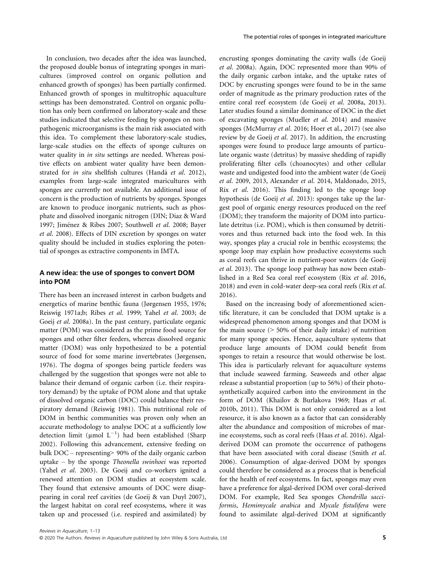In conclusion, two decades after the idea was launched, the proposed double bonus of integrating sponges in maricultures (improved control on organic pollution and enhanced growth of sponges) has been partially confirmed. Enhanced growth of sponges in multitrophic aquaculture settings has been demonstrated. Control on organic pollution has only been confirmed on laboratory-scale and these studies indicated that selective feeding by sponges on nonpathogenic microorganisms is the main risk associated with this idea. To complement these laboratory-scale studies, large-scale studies on the effects of sponge cultures on water quality in in situ settings are needed. Whereas positive effects on ambient water quality have been demonstrated for *in situ* shellfish cultures (Handå *et al*. 2012), examples from large-scale integrated maricultures with sponges are currently not available. An additional issue of concern is the production of nutrients by sponges. Sponges are known to produce inorganic nutrients, such as phosphate and dissolved inorganic nitrogen (DIN; Diaz & Ward 1997; Jiménez & Ribes 2007; Southwell et al. 2008; Bayer et al. 2008). Effects of DIN excretion by sponges on water quality should be included in studies exploring the potential of sponges as extractive components in IMTA.

#### A new idea: the use of sponges to convert DOM into POM

There has been an increased interest in carbon budgets and energetics of marine benthic fauna (Jørgensen 1955, 1976; Reiswig 1971a;b; Ribes et al. 1999; Yahel et al. 2003; de Goeij et al. 2008a). In the past century, particulate organic matter (POM) was considered as the prime food source for sponges and other filter feeders, whereas dissolved organic matter (DOM) was only hypothesized to be a potential source of food for some marine invertebrates (Jørgensen, 1976). The dogma of sponges being particle feeders was challenged by the suggestion that sponges were not able to balance their demand of organic carbon (i.e. their respiratory demand) by the uptake of POM alone and that uptake of dissolved organic carbon (DOC) could balance their respiratory demand (Reiswig 1981). This nutritional role of DOM in benthic communities was proven only when an accurate methodology to analyse DOC at a sufficiently low detection limit ( $\mu$ mol  $L^{-1}$ ) had been established (Sharp 2002). Following this advancement, extensive feeding on bulk DOC – representing> 90% of the daily organic carbon uptake – by the sponge Theonella swinhoei was reported (Yahel et al. 2003). De Goeij and co-workers ignited a renewed attention on DOM studies at ecosystem scale. They found that extensive amounts of DOC were disappearing in coral reef cavities (de Goeij & van Duyl 2007), the largest habitat on coral reef ecosystems, where it was taken up and processed (i.e. respired and assimilated) by encrusting sponges dominating the cavity walls (de Goeij et al. 2008a). Again, DOC represented more than 90% of the daily organic carbon intake, and the uptake rates of DOC by encrusting sponges were found to be in the same order of magnitude as the primary production rates of the entire coral reef ecosystem (de Goeij et al. 2008a, 2013). Later studies found a similar dominance of DOC in the diet of excavating sponges (Mueller et al. 2014) and massive sponges (McMurray et al. 2016; Hoer et al., 2017) (see also review by de Goeij et al. 2017). In addition, the encrusting sponges were found to produce large amounts of particulate organic waste (detritus) by massive shedding of rapidly proliferating filter cells (choanocytes) and other cellular waste and undigested food into the ambient water (de Goeij et al. 2009, 2013, Alexander et al. 2014, Maldonado, 2015, Rix et al. 2016). This finding led to the sponge loop hypothesis (de Goeij et al. 2013): sponges take up the largest pool of organic energy resources produced on the reef (DOM); they transform the majority of DOM into particulate detritus (i.e. POM), which is then consumed by detritivores and thus returned back into the food web. In this way, sponges play a crucial role in benthic ecosystems; the sponge loop may explain how productive ecosystems such as coral reefs can thrive in nutrient-poor waters (de Goeij et al. 2013). The sponge loop pathway has now been established in a Red Sea coral reef ecosystem (Rix et al. 2016, 2018) and even in cold-water deep-sea coral reefs (Rix et al. 2016).

Based on the increasing body of aforementioned scientific literature, it can be concluded that DOM uptake is a widespread phenomenon among sponges and that DOM is the main source  $($  > 50% of their daily intake) of nutrition for many sponge species. Hence, aquaculture systems that produce large amounts of DOM could benefit from sponges to retain a resource that would otherwise be lost. This idea is particularly relevant for aquaculture systems that include seaweed farming. Seaweeds and other algae release a substantial proportion (up to 56%) of their photosynthetically acquired carbon into the environment in the form of DOM (Khailov & Burlakova 1969; Haas et al. 2010b, 2011). This DOM is not only considered as a lost resource, it is also known as a factor that can considerably alter the abundance and composition of microbes of marine ecosystems, such as coral reefs (Haas et al. 2016). Algalderived DOM can promote the occurrence of pathogens that have been associated with coral disease (Smith et al. 2006). Consumption of algae-derived DOM by sponges could therefore be considered as a process that is beneficial for the health of reef ecosystems. In fact, sponges may even have a preference for algal-derived DOM over coral-derived DOM. For example, Red Sea sponges Chondrilla sacciformis, Hemimycale arabica and Mycale fistulifera were found to assimilate algal-derived DOM at significantly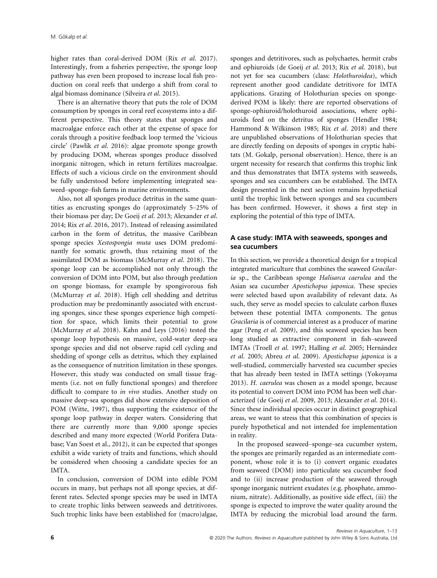higher rates than coral-derived DOM (Rix et al. 2017). Interestingly, from a fisheries perspective, the sponge loop pathway has even been proposed to increase local fish production on coral reefs that undergo a shift from coral to algal biomass dominance (Silveira et al. 2015).

There is an alternative theory that puts the role of DOM consumption by sponges in coral reef ecosystems into a different perspective. This theory states that sponges and macroalgae enforce each other at the expense of space for corals through a positive feedback loop termed the 'vicious circle' (Pawlik et al. 2016): algae promote sponge growth by producing DOM, whereas sponges produce dissolved inorganic nitrogen, which in return fertilizes macroalgae. Effects of such a vicious circle on the environment should be fully understood before implementing integrated seaweed–sponge–fish farms in marine environments.

Also, not all sponges produce detritus in the same quantities as encrusting sponges do (approximately 5–25% of their biomass per day; De Goeij et al. 2013; Alexander et al. 2014; Rix et al. 2016, 2017). Instead of releasing assimilated carbon in the form of detritus, the massive Caribbean sponge species Xestospongia muta uses DOM predominantly for somatic growth, thus retaining most of the assimilated DOM as biomass (McMurray et al. 2018). The sponge loop can be accomplished not only through the conversion of DOM into POM, but also through predation on sponge biomass, for example by spongivorous fish (McMurray et al. 2018). High cell shedding and detritus production may be predominantly associated with encrusting sponges, since these sponges experience high competition for space, which limits their potential to grow (McMurray et al. 2018). Kahn and Leys (2016) tested the sponge loop hypothesis on massive, cold-water deep-sea sponge species and did not observe rapid cell cycling and shedding of sponge cells as detritus, which they explained as the consequence of nutrition limitation in these sponges. However, this study was conducted on small tissue fragments (i.e. not on fully functional sponges) and therefore difficult to compare to in vivo studies. Another study on massive deep-sea sponges did show extensive deposition of POM (Witte, 1997), thus supporting the existence of the sponge loop pathway in deeper waters. Considering that there are currently more than 9,000 sponge species described and many more expected (World Porifera Database; Van Soest et al., 2012), it can be expected that sponges exhibit a wide variety of traits and functions, which should be considered when choosing a candidate species for an IMTA.

In conclusion, conversion of DOM into edible POM occurs in many, but perhaps not all sponge species, at different rates. Selected sponge species may be used in IMTA to create trophic links between seaweeds and detritivores. Such trophic links have been established for (macro)algae, sponges and detritivores, such as polychaetes, hermit crabs and ophiuroids (de Goeij et al. 2013; Rix et al. 2018), but not yet for sea cucumbers (class: Holothuroidea), which represent another good candidate detritivore for IMTA applications. Grazing of Holothurian species on spongederived POM is likely: there are reported observations of sponge-ophiuroid/holothuroid associations, where ophiuroids feed on the detritus of sponges (Hendler 1984; Hammond & Wilkinson 1985; Rix et al. 2018) and there are unpublished observations of Holothurian species that are directly feeding on deposits of sponges in cryptic habitats (M. Gokalp, personal observation). Hence, there is an urgent necessity for research that confirms this trophic link and thus demonstrates that IMTA systems with seaweeds, sponges and sea cucumbers can be established. The IMTA design presented in the next section remains hypothetical until the trophic link between sponges and sea cucumbers has been confirmed. However, it shows a first step in exploring the potential of this type of IMTA.

#### A case study: IMTA with seaweeds, sponges and sea cucumbers

In this section, we provide a theoretical design for a tropical integrated mariculture that combines the seaweed Gracilaria sp., the Caribbean sponge Halisarca caerulea and the Asian sea cucumber Apostichopus japonica. These species were selected based upon availability of relevant data. As such, they serve as model species to calculate carbon fluxes between these potential IMTA components. The genus Gracilaria is of commercial interest as a producer of marine agar (Peng et al. 2009), and this seaweed species has been long studied as extractive component in fish–seaweed IMTAs (Troell et al. 1997; Halling et al. 2005; Hernández et al. 2005; Abreu et al. 2009). Apostichopus japonica is a well-studied, commercially harvested sea cucumber species that has already been tested in IMTA settings (Yokoyama 2013). H. caerulea was chosen as a model sponge, because its potential to convert DOM into POM has been well characterized (de Goeij et al. 2009, 2013; Alexander et al. 2014). Since these individual species occur in distinct geographical areas, we want to stress that this combination of species is purely hypothetical and not intended for implementation in reality.

In the proposed seaweed–sponge–sea cucumber system, the sponges are primarily regarded as an intermediate component, whose role it is to (i) convert organic exudates from seaweed (DOM) into particulate sea cucumber food and to (ii) increase production of the seaweed through sponge inorganic nutrient exudates (e.g. phosphate, ammonium, nitrate). Additionally, as positive side effect, (iii) the sponge is expected to improve the water quality around the IMTA by reducing the microbial load around the farm.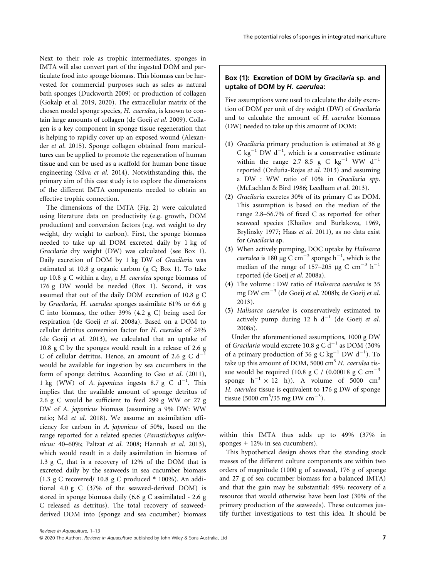Next to their role as trophic intermediates, sponges in IMTA will also convert part of the ingested DOM and particulate food into sponge biomass. This biomass can be harvested for commercial purposes such as sales as natural bath sponges (Duckworth 2009) or production of collagen (Gokalp et al. 2019, 2020). The extracellular matrix of the chosen model sponge species, H. caerulea, is known to contain large amounts of collagen (de Goeij et al. 2009). Collagen is a key component in sponge tissue regeneration that is helping to rapidly cover up an exposed wound (Alexander et al. 2015). Sponge collagen obtained from maricultures can be applied to promote the regeneration of human tissue and can be used as a scaffold for human bone tissue engineering (Silva et al. 2014). Notwithstanding this, the primary aim of this case study is to explore the dimensions of the different IMTA components needed to obtain an effective trophic connection.

The dimensions of the IMTA (Fig. 2) were calculated using literature data on productivity (e.g. growth, DOM production) and conversion factors (e.g. wet weight to dry weight, dry weight to carbon). First, the sponge biomass needed to take up all DOM excreted daily by 1 kg of Gracilaria dry weight (DW) was calculated (see Box 1). Daily excretion of DOM by 1 kg DW of Gracilaria was estimated at 10.8 g organic carbon (g C; Box 1). To take up 10.8 g C within a day, a H. caerulea sponge biomass of 176 g DW would be needed (Box 1). Second, it was assumed that out of the daily DOM excretion of 10.8 g C by Gracilaria, H. caerulea sponges assimilate 61% or 6.6 g C into biomass, the other 39% (4.2 g C) being used for respiration (de Goeij et al. 2008a). Based on a DOM to cellular detritus conversion factor for H. caerulea of 24% (de Goeij et al. 2013), we calculated that an uptake of 10.8 g C by the sponges would result in a release of 2.6 g C of cellular detritus. Hence, an amount of 2.6 g C  $d^{-1}$ would be available for ingestion by sea cucumbers in the form of sponge detritus. According to Gao et al. (2011), 1 kg (WW) of A. japonicus ingests 8.7 g C  $d^{-1}$ . This implies that the available amount of sponge detritus of 2.6 g C would be sufficient to feed 299 g WW or 27 g DW of A. japonicus biomass (assuming a 9% DW: WW ratio; Md et al. 2018). We assume an assimilation efficiency for carbon in A. japonicus of 50%, based on the range reported for a related species (Parastichopus californicus: 40–60%; Paltzat et al. 2008; Hannah et al. 2013), which would result in a daily assimilation in biomass of 1.3 g C, that is a recovery of 12% of the DOM that is excreted daily by the seaweeds in sea cucumber biomass  $(1.3 \text{ g C recovered} / 10.8 \text{ g C produced } * 100\%).$  An additional 4.0 g C (37% of the seaweed-derived DOM) is stored in sponge biomass daily (6.6 g C assimilated - 2.6 g C released as detritus). The total recovery of seaweedderived DOM into (sponge and sea cucumber) biomass

## Box (1): Excretion of DOM by Gracilaria sp. and uptake of DOM by H. caerulea:

Five assumptions were used to calculate the daily excretion of DOM per unit of dry weight (DW) of Gracilaria and to calculate the amount of H. caerulea biomass (DW) needed to take up this amount of DOM:

- (1) Gracilaria primary production is estimated at 36 g C  $kg^{-1}$  DW d<sup>-1</sup>, which is a conservative estimate within the range 2.7–8.5 g C  $\text{kg}^{-1}$  WW  $\text{d}^{-1}$ reported (Orduña-Rojas et al. 2013) and assuming a DW : WW ratio of 10% in Gracilaria spp. (McLachlan & Bird 1986; Leedham et al. 2013).
- (2) Gracilaria excretes 30% of its primary C as DOM. This assumption is based on the median of the range 2.8–56.7% of fixed C as reported for other seaweed species (Khailov and Burlakova, 1969, Brylinsky 1977; Haas et al. 2011), as no data exist for Gracilaria sp.
- (3) When actively pumping, DOC uptake by Halisarca *caerulea* is 180 µg C cm<sup>-3</sup> sponge h<sup>-1</sup>, which is the median of the range of 157–205 µg C cm<sup>-3</sup> h<sup>-1</sup> reported (de Goeij et al. 2008a).
- (4) The volume : DW ratio of Halisarca caerulea is 35 mg DW  $cm^{-3}$  (de Goeij et al. 2008b; de Goeij et al. 2013).
- (5) Halisarca caerulea is conservatively estimated to actively pump during 12 h  $d^{-1}$  (de Goeij et al. 2008a).

Under the aforementioned assumptions, 1000 g DW of Gracilaria would excrete 10.8 g C d<sup>-1</sup> as DOM (30%) of a primary production of 36 g C  $\text{kg}^{-1}$  DW d<sup>-1</sup>). To take up this amount of DOM, 5000  $\text{cm}^3$  H. caerulea tissue would be required (10.8 g C / (0.00018 g C  $cm^{-3}$ sponge  $h^{-1} \times 12$  h)). A volume of 5000 cm<sup>3</sup> H. caerulea tissue is equivalent to 176 g DW of sponge tissue (5000 cm<sup>3</sup>/35 mg DW cm<sup>-3</sup>).

within this IMTA thus adds up to 49% (37% in sponges + 12% in sea cucumbers).

This hypothetical design shows that the standing stock masses of the different culture components are within two orders of magnitude (1000 g of seaweed, 176 g of sponge and 27 g of sea cucumber biomass for a balanced IMTA) and that the gain may be substantial: 49% recovery of a resource that would otherwise have been lost (30% of the primary production of the seaweeds). These outcomes justify further investigations to test this idea. It should be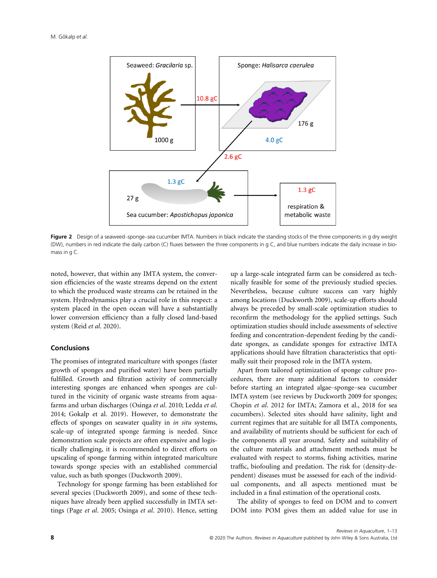

Figure 2 Design of a seaweed–sponge–sea cucumber IMTA. Numbers in black indicate the standing stocks of the three components in g dry weight (DW), numbers in red indicate the daily carbon (C) fluxes between the three components in g C, and blue numbers indicate the daily increase in biomass in g C.

noted, however, that within any IMTA system, the conversion efficiencies of the waste streams depend on the extent to which the produced waste streams can be retained in the system. Hydrodynamics play a crucial role in this respect: a system placed in the open ocean will have a substantially lower conversion efficiency than a fully closed land-based system (Reid et al. 2020).

#### Conclusions

The promises of integrated mariculture with sponges (faster growth of sponges and purified water) have been partially fulfilled. Growth and filtration activity of commercially interesting sponges are enhanced when sponges are cultured in the vicinity of organic waste streams from aquafarms and urban discharges (Osinga et al. 2010; Ledda et al. 2014; Gokalp et al. 2019). However, to demonstrate the effects of sponges on seawater quality in in situ systems, scale-up of integrated sponge farming is needed. Since demonstration scale projects are often expensive and logistically challenging, it is recommended to direct efforts on upscaling of sponge farming within integrated mariculture towards sponge species with an established commercial value, such as bath sponges (Duckworth 2009).

Technology for sponge farming has been established for several species (Duckworth 2009), and some of these techniques have already been applied successfully in IMTA settings (Page et al. 2005; Osinga et al. 2010). Hence, setting up a large-scale integrated farm can be considered as technically feasible for some of the previously studied species. Nevertheless, because culture success can vary highly among locations (Duckworth 2009), scale-up efforts should always be preceded by small-scale optimization studies to reconfirm the methodology for the applied settings. Such optimization studies should include assessments of selective feeding and concentration-dependent feeding by the candidate sponges, as candidate sponges for extractive IMTA applications should have filtration characteristics that optimally suit their proposed role in the IMTA system.

Apart from tailored optimization of sponge culture procedures, there are many additional factors to consider before starting an integrated algae–sponge–sea cucumber IMTA system (see reviews by Duckworth 2009 for sponges; Chopin et al. 2012 for IMTA; Zamora et al., 2018 for sea cucumbers). Selected sites should have salinity, light and current regimes that are suitable for all IMTA components, and availability of nutrients should be sufficient for each of the components all year around. Safety and suitability of the culture materials and attachment methods must be evaluated with respect to storms, fishing activities, marine traffic, biofouling and predation. The risk for (density-dependent) diseases must be assessed for each of the individual components, and all aspects mentioned must be included in a final estimation of the operational costs.

The ability of sponges to feed on DOM and to convert DOM into POM gives them an added value for use in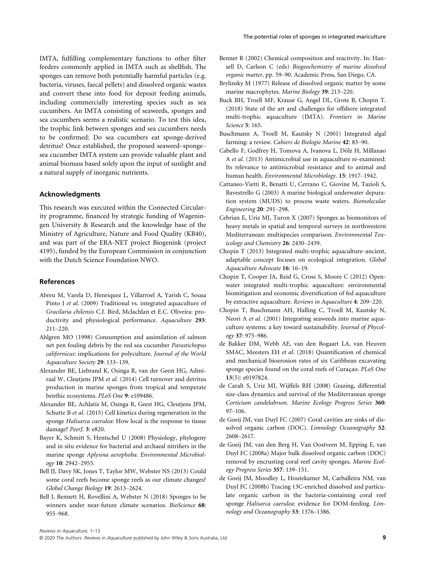IMTA, fulfilling complementary functions to other filter feeders commonly applied in IMTA such as shellfish. The sponges can remove both potentially harmful particles (e.g. bacteria, viruses, faecal pellets) and dissolved organic wastes and convert these into food for deposit feeding animals, including commercially interesting species such as sea cucumbers. An IMTA consisting of seaweeds, sponges and sea cucumbers seems a realistic scenario. To test this idea, the trophic link between sponges and sea cucumbers needs to be confirmed: Do sea cucumbers eat sponge-derived detritus? Once established, the proposed seaweed–sponge– sea cucumber IMTA system can provide valuable plant and animal biomass based solely upon the input of sunlight and a natural supply of inorganic nutrients.

#### Acknowledgments

This research was executed within the Connected Circularity programme, financed by strategic funding of Wageningen University & Research and the knowledge base of the Ministry of Agriculture, Nature and Food Quality (KB40), and was part of the ERA-NET project Biogenink (project 4195), funded by the European Commission in conjunction with the Dutch Science Foundation NWO.

#### References

- Abreu M, Varela D, Henriquez L, Villarroel A, Yarish C, Sousa Pinto I et al. (2009) Traditional vs. integrated aquaculture of Gracilaria chilensis C.J. Bird, Mclachlan et E.C. Oliveira: productivity and physiological performance. Aquaculture 293: 211–220.
- Ahlgren MO (1998) Consumption and assimilation of salmon net pen fouling debris by the red sea cucumber Parastichopus californicus: implications for polyculture. Journal of the World Aquaculture Society 29: 133–139.
- Alexander BE, Liebrand K, Osinga R, van der Geest HG, Admiraal W, Cleutjens JPM et al. (2014) Cell turnover and detritus production in marine sponges from tropical and temperate benthic ecosystems. PLoS One 9: e109486.
- Alexander BE, Achlatis M, Osinga R, Geest HG, Cleutjens JPM, Schutte B et al. (2015) Cell kinetics during regeneration in the sponge Halisarca caerulea: How local is the response to tissue damage? PeerJ. 3: e820.
- Bayer K, Schmitt S, Hentschel U (2008) Physiology, phylogeny and in situ evidence for bacterial and archaeal nitrifiers in the marine sponge Aplysina aerophoba. Environmental Microbiology 10: 2942–2955.
- Bell JJ, Davy SK, Jones T, Taylor MW, Webster NS (2013) Could some coral reefs become sponge reefs as our climate changes? Global Change Biology 19: 2613–2624.
- Bell J, Bennett H, Rovellini A, Webster N (2018) Sponges to be winners under near-future climate scenarios. BioScience 68: 955–968.
- Benner R (2002) Chemical composition and reactivity. In: Hansell D, Carlson C (eds) Biogeochemistry of marine dissolved organic matter, pp. 59–90. Academic Press, San Diego, CA.
- Brylinsky M (1977) Release of dissolved organic matter by some marine macrophytes. Marine Biology 39: 213–220.
- Buck BH, Troell MF, Krause G, Angel DL, Grote B, Chopin T. (2018) State of the art and challenges for offshore integrated multi-trophic aquaculture (IMTA). Frontiers in Marine Science 5: 165.
- Buschmann A, Troell M, Kautsky N (2001) Integrated algal farming: a review. Cahiers de Biologie Marine 42: 83–90.
- Cabello F, Godfrey H, Tomova A, Ivanova L, Dölz H, Millanao A et al. (2013) Antimicrobial use in aquaculture re-examined: Its relevance to antimicrobial resistance and to animal and human health. Environmental Microbiology. 15: 1917–1942.
- Cattaneo-Vietti R, Benatti U, Cerrano C, Giovine M, Tazioli S, Bavestrello G (2003) A marine biological underwater depuration system (MUDS) to process waste waters. Biomolecular Engineering 20: 291–298.
- Cebrian E, Uriz MJ, Turon X (2007) Sponges as biomonitors of heavy metals in spatial and temporal surveys in northwestern Mediterranean: multispecies comparison. Environmental Toxicology and Chemistry 26: 2430–2439.
- Chopin T (2013) Integrated multi-trophic aquaculture–ancient, adaptable concept focuses on ecological integration. Global Aquaculture Advocate 16: 16–19.
- Chopin T, Cooper JA, Reid G, Cross S, Moore C (2012) Openwater integrated multi-trophic aquaculture: environmental biomitigation and economic diversification of fed aquaculture by extractive aquaculture. Reviews in Aquaculture 4: 209–220.
- Chopin T, Buschmann AH, Halling C, Troell M, Kautsky N, Neori A et al. (2001) Integrating seaweeds into marine aquaculture systems: a key toward sustainability. Journal of Phycology 37: 975–986.
- de Bakker DM, Webb AE, van den Bogaart LA, van Heuven SMAC, Meesters EH et al. (2018) Quantification of chemical and mechanical bioerosion rates of six Caribbean excavating sponge species found on the coral reefs of Curaçao. PLoS One 13(5): e0197824.
- de Caralt S, Uriz MJ, Wijffels RH (2008) Grazing, differential size-class dynamics and survival of the Mediterranean sponge Corticium candelabrum. Marine Ecology Progress Series 360: 97–106.
- de Goeij JM, van Duyl FC (2007) Coral cavities are sinks of dissolved organic carbon (DOC). Limnology Oceanography 52: 2608–2617.
- de Goeij JM, van den Berg H, Van Oostveen M, Epping E, van Duyl FC (2008a) Major bulk dissolved organic carbon (DOC) removal by encrusting coral reef cavity sponges. Marine Ecology Progress Series 357: 139–151.
- de Goeij JM, Moodley L, Houtekamer M, Carballeira NM, van Duyl FC (2008b) Tracing 13C-enriched dissolved and particulate organic carbon in the bacteria-containing coral reef sponge Halisarca caerulea: evidence for DOM-feeding. Limnology and Oceanography 53: 1376–1386.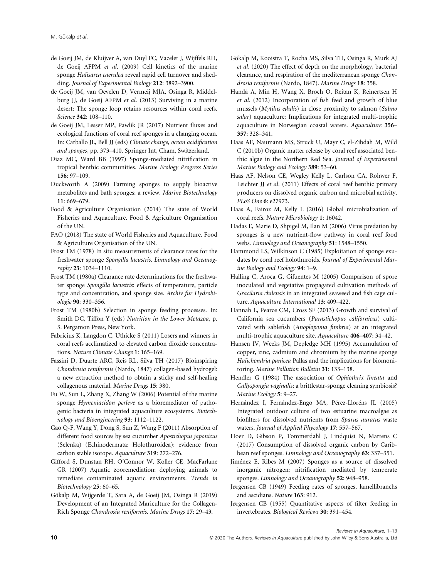- de Goeij JM, de Kluijver A, van Duyl FC, Vacelet J, Wijffels RH, de Goeij AFPM et al. (2009) Cell kinetics of the marine sponge Halisarca caerulea reveal rapid cell turnover and shedding. Journal of Experimental Biology 212: 3892–3900.
- de Goeij JM, van Oevelen D, Vermeij MJA, Osinga R, Middelburg JJ, de Goeij AFPM et al. (2013) Surviving in a marine desert: The sponge loop retains resources within coral reefs. Science 342: 108–110.
- de Goeij JM, Lesser MP, Pawlik JR (2017) Nutrient fluxes and ecological functions of coral reef sponges in a changing ocean. In: Carballo JL, Bell JJ (eds) Climate change, ocean acidification and sponges, pp. 373–410. Springer Int, Cham, Switzerland.
- Diaz MC, Ward BB (1997) Sponge-mediated nitrification in tropical benthic communities. Marine Ecology Progress Series 156: 97–109.
- Duckworth A (2009) Farming sponges to supply bioactive metabolites and bath sponges: a review. Marine Biotechnology  $11:669-679$
- Food & Agriculture Organisation (2014) The state of World Fisheries and Aquaculture. Food & Agriculture Organisation of the UN.
- FAO (2018) The state of World Fisheries and Aquaculture. Food & Agriculture Organisation of the UN.
- Frost TM (1978) In situ measurements of clearance rates for the freshwater sponge Spongilla lacustris. Limnology and Oceanography 23: 1034–1110.
- Frost TM (1980a) Clearance rate determinations for the freshwater sponge Spongilla lacustris: effects of temperature, particle type and concentration, and sponge size. Archiv fur Hydrobiologie 90: 330–356.
- Frost TM (1980b) Selection in sponge feeding processes. In: Smith DC, Tiffon Y (eds) Nutrition in the Lower Metazoa, p. 3. Pergamon Press, New York.
- Fabricius K, Langdon C, Uthicke S (2011) Losers and winners in coral reefs acclimatized to elevated carbon dioxide concentrations. Nature Climate Change 1: 165–169.
- Fassini D, Duarte ARC, Reis RL, Silva TH (2017) Bioinspiring Chondrosia reniformis (Nardo, 1847) collagen-based hydrogel: a new extraction method to obtain a sticky and self-healing collagenous material. Marine Drugs 15: 380.
- Fu W, Sun L, Zhang X, Zhang W (2006) Potential of the marine sponge Hymeniacidon perleve as a bioremediator of pathogenic bacteria in integrated aquaculture ecosystems. Biotechnology and Bioengineering 93: 1112–1122.
- Gao Q-F, Wang Y, Dong S, Sun Z, Wang F (2011) Absorption of different food sources by sea cucumber Apostichopus japonicus (Selenka) (Echinodermata: Holothuroidea): evidence from carbon stable isotope. Aquaculture 319: 272–276.
- Gifford S, Dunstan RH, O'Connor W, Koller CE, MacFarlane GR (2007) Aquatic zooremediation: deploying animals to remediate contaminated aquatic environments. Trends in Biotechnology 25: 60–65.
- Gökalp M, Wijgerde T, Sara A, de Goeij JM, Osinga R (2019) Development of an Integrated Mariculture for the Collagen-Rich Sponge Chondrosia reniformis. Marine Drugs 17: 29–43.
- Gökalp M, Kooistra T, Rocha MS, Silva TH, Osinga R, Murk AJ et al. (2020) The effect of depth on the morphology, bacterial clearance, and respiration of the mediterranean sponge Chondrosia reniformis (Nardo, 1847). Marine Drugs 18: 358.
- Handå A, Min H, Wang X, Broch O, Reitan K, Reinertsen H et al. (2012) Incorporation of fish feed and growth of blue mussels (Mytilus edulis) in close proximity to salmon (Salmo salar) aquaculture: Implications for integrated multi-trophic aquaculture in Norwegian coastal waters. Aquaculture 356– 357: 328–341.
- Haas AF, Naumann MS, Struck U, Mayr C, el-Zibdah M, Wild C (2010b) Organic matter release by coral reef associated benthic algae in the Northern Red Sea. Journal of Experimental Marine Biology and Ecology 389: 53–60.
- Haas AF, Nelson CE, Wegley Kelly L, Carlson CA, Rohwer F, Leichter JJ et al. (2011) Effects of coral reef benthic primary producers on dissolved organic carbon and microbial activity. PLoS One 6: e27973.
- Haas A, Fairoz M, Kelly L (2016) Global microbialization of coral reefs. Nature Microbiology 1: 16042.
- Hadas E, Marie D, Shpigel M, Ilan M (2006) Virus predation by sponges is a new nutrient-flow pathway in coral reef food webs. Limnology and Oceanography 51: 1548–1550.
- Hammond LS, Wilkinson C (1985) Exploitation of sponge exudates by coral reef holothuroids. Journal of Experimental Marine Biology and Ecology 94: 1–9.
- Halling C, Aroca G, Cifuentes M (2005) Comparison of spore inoculated and vegetative propagated cultivation methods of Gracilaria chilensis in an integrated seaweed and fish cage culture. Aquaculture International 13: 409–422.
- Hannah L, Pearce CM, Cross SF (2013) Growth and survival of California sea cucumbers (Parastichopus californicus) cultivated with sablefish (Anoplopoma fimbria) at an integrated multi-trophic aquaculture site. Aquaculture 406–407: 34–42.
- Hansen IV, Weeks JM, Depledge MH (1995) Accumulation of copper, zinc, cadmium and chromium by the marine sponge Halichondria panicea Pallas and the implications for biomonitoring. Marine Pollution Bulletin 31: 133–138.
- Hendler G (1984) The association of Ophiothrix lineata and Callyspongia vaginalis: a brittlestar-sponge cleaning symbiosis? Marine Ecology 5: 9–27.
- Hernández I, Fernández-Engo MA, Pérez-Lloréns JL (2005) Integrated outdoor culture of two estuarine macroalgae as biofilters for dissolved nutrients from Sparus auratus waste waters. Journal of Applied Phycology 17: 557–567.
- Hoer D, Gibson P, Tommerdahl J, Lindquist N, Martens C (2017) Consumption of dissolved organic carbon by Caribbean reef sponges. Limnology and Oceanography 63: 337-351.
- Jimenez E, Ribes M (2007) Sponges as a source of dissolved inorganic nitrogen: nitrification mediated by temperate sponges. Limnology and Oceanography 52: 948–958.
- Jørgensen CB (1949) Feeding rates of sponges, lamellibranchs and ascidians. Nature 163: 912.
- Jørgensen CB (1955) Quantitative aspects of filter feeding in invertebrates. Biological Reviews 30: 391–454.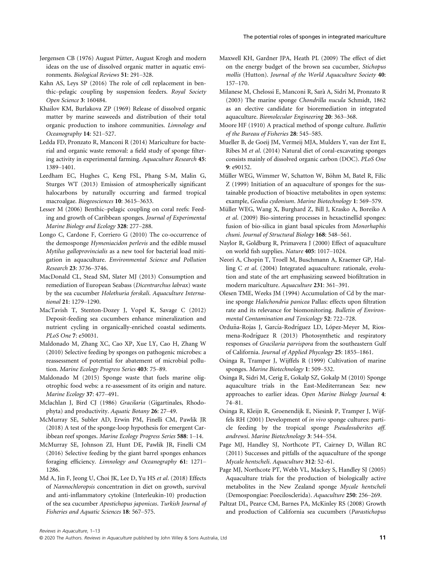- Jørgensen CB (1976) August Pütter, August Krogh and modern ideas on the use of dissolved organic matter in aquatic environments. Biological Reviews 51: 291–328.
- Kahn AS, Leys SP (2016) The role of cell replacement in benthic–pelagic coupling by suspension feeders. Royal Society Open Science 3: 160484.
- Khailov KM, Burlakova ZP (1969) Release of dissolved organic matter by marine seaweeds and distribution of their total organic production to inshore communities. Limnology and Oceanography 14: 521–527.
- Ledda FD, Pronzato R, Manconi R (2014) Mariculture for bacterial and organic waste removal: a field study of sponge filtering activity in experimental farming. Aquaculture Research 45: 1389–1401.
- Leedham EC, Hughes C, Keng FSL, Phang S-M, Malin G, Sturges WT (2013) Emission of atmospherically significant halocarbons by naturally occurring and farmed tropical macroalgae. Biogeosciences 10: 3615–3633.
- Lesser M (2006) Benthic–pelagic coupling on coral reefs: Feeding and growth of Caribbean sponges. Journal of Experimental Marine Biology and Ecology 328: 277–288.
- Longo C, Cardone F, Corriero G (2010) The co-occurrence of the demosponge Hymeniacidon perlevis and the edible mussel Mytilus galloprovincialis as a new tool for bacterial load mitigation in aquaculture. Environmental Science and Pollution Research 23: 3736–3746.
- MacDonald CL, Stead SM, Slater MJ (2013) Consumption and remediation of European Seabass (Dicentrarchus labrax) waste by the sea cucumber Holothuria forskali. Aquaculture International 21: 1279–1290.
- MacTavish T, Stenton-Dozey J, Vopel K, Savage C (2012) Deposit-feeding sea cucumbers enhance mineralization and nutrient cycling in organically-enriched coastal sediments. PLoS One 7: e50031.
- Maldonado M, Zhang XC, Cao XP, Xue LY, Cao H, Zhang W (2010) Selective feeding by sponges on pathogenic microbes: a reassessment of potential for abatement of microbial pollution. Marine Ecology Progress Series 403: 75–89.
- Maldonado M (2015) Sponge waste that fuels marine oligotrophic food webs: a re-assessment of its origin and nature. Marine Ecology 37: 477–491.
- Mclachlan J, Bird CJ (1986) Gracilaria (Gigartinales, Rhodophyta) and productivity. Aquatic Botany 26: 27–49.
- McMurray SE, Subler AD, Erwin PM, Finelli CM, Pawlik JR (2018) A test of the sponge-loop hypothesis for emergent Caribbean reef sponges. Marine Ecology Progress Series 588: 1–14.
- McMurray SE, Johnson ZI, Hunt DE, Pawlik JR, Finelli CM (2016) Selective feeding by the giant barrel sponges enhances foraging efficiency. Limnology and Oceanography 61: 1271– 1286.
- Md A, Jin F, Jeong U, Choi JK, Lee D, Yu HS et al. (2018) Effects of Nannochloropsis concentration in diet on growth, survival and anti-inflammatory cytokine (Interleukin-10) production of the sea cucumber Apostichopus japonicas. Turkish Journal of Fisheries and Aquatic Sciences 18: 567–575.
- Maxwell KH, Gardner JPA, Heath PL (2009) The effect of diet on the energy budget of the brown sea cucumber, Stichopus mollis (Hutton). Journal of the World Aquaculture Society 40: 157–170.
- Milanese M, Chelossi E, Manconi R, Sara A, Sidri M, Pronzato R (2003) The marine sponge Chondrilla nucula Schmidt, 1862 as an elective candidate for bioremediation in integrated aquaculture. Biomolecular Engineering 20: 363–368.
- Moore HF (1910) A practical method of sponge culture. Bulletin of the Bureau of Fisheries 28: 545–585.
- Mueller B, de Goeij JM, Vermeij MJA, Mulders Y, van der Ent E, Ribes M et al. (2014) Natural diet of coral-excavating sponges consists mainly of dissolved organic carbon (DOC). PLoS One 9: e90152.
- Müller WEG, Wimmer W, Schatton W, Böhm M, Batel R, Filic Z (1999) Initiation of an aquaculture of sponges for the sustainable production of bioactive metabolites in open systems: example, Geodia cydonium. Marine Biotechnology 1: 569–579.
- Müller WEG, Wang X, Burghard Z, Bill J, Krasko A, Boreiko A et al. (2009) Bio-sintering processes in hexactinellid sponges: fusion of bio-silica in giant basal spicules from Monorhaphis chuni. Journal of Structural Biology 168: 548–561.
- Naylor R, Goldburg R, Primavera J (2000) Effect of aquaculture on world fish supplies. Nature 405: 1017–1024.
- Neori A, Chopin T, Troell M, Buschmann A, Kraemer GP, Halling C et al. (2004) Integrated aquaculture: rationale, evolution and state of the art emphasizing seaweed biofiltration in modern mariculture. Aquaculture 231: 361–391.
- Olesen TME, Weeks JM (1994) Accumulation of Cd by the marine sponge Halichondria panicea Pallas: effects upon filtration rate and its relevance for biomonitoring. Bulletin of Environmental Contamination and Toxicology 52: 722–728.
- Orduña-Rojas J, García-Rodríguez LD, López-Meyer M, Riosmena-Rodríguez R (2013) Photosynthetic and respiratory responses of Gracilaria parvispora from the southeastern Gulf of California. Journal of Applied Phycology 25: 1855–1861.
- Osinga R, Tramper J, Wijffels R (1999) Cultivation of marine sponges. Marine Biotechnology 1: 509–532.
- Osinga R, Sidri M, Cerig E, Gokalp SZ, Gokalp M (2010) Sponge aquaculture trials in the East-Mediterranean Sea: new approaches to earlier ideas. Open Marine Biology Journal 4: 74–81.
- Osinga R, Kleijn R, Groenendijk E, Niesink P, Tramper J, Wijffels RH (2001) Development of in vivo sponge cultures: particle feeding by the tropical sponge Pseudosuberites aff. andrewsi. Marine Biotechnology 3: 544–554.
- Page MJ, Handley SJ, Northcote PT, Cairney D, Willan RC (2011) Successes and pitfalls of the aquaculture of the sponge Mycale hentscheli. Aquaculture 312: 52–61.
- Page MJ, Northcote PT, Webb VL, Mackey S, Handley SJ (2005) Aquaculture trials for the production of biologically active metabolites in the New Zealand sponge Mycale hentscheli (Demospongiae: Poecilosclerida). Aquaculture 250: 256–269.
- Paltzat DL, Pearce CM, Barnes PA, McKinley RS (2008) Growth and production of California sea cucumbers (Parastichopus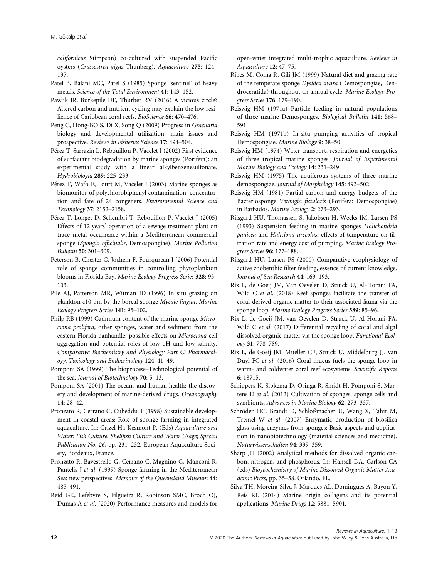californicus Stimpson) co-cultured with suspended Pacific oysters (Crassostrea gigas Thunberg). Aquaculture 275: 124– 137.

- Patel B, Balani MC, Patel S (1985) Sponge 'sentinel' of heavy metals. Science of the Total Environment 41: 143–152.
- Pawlik JR, Burkepile DE, Thurber RV (2016) A vicious circle? Altered carbon and nutrient cycling may explain the low resilience of Caribbean coral reefs. BioScience 66: 470–476.
- Peng C, Hong-BO S, Di X, Song Q (2009) Progress in Gracilaria biology and developmental utilization: main issues and prospective. Reviews in Fisheries Science 17: 494–504.
- Perez T, Sarrazin L, Rebouillon P, Vacelet J (2002) First evidence of surfactant biodegradation by marine sponges (Porifera): an experimental study with a linear alkylbenzenesulfonate. Hydrobiologia 289: 225–233.
- Pérez T, Wafo E, Fourt M, Vacelet J (2003) Marine sponges as biomonitor of polychlorobiphenyl contamination: concentration and fate of 24 congeners. Environmental Science and Technology 37: 2152–2158.
- Perez T, Longet D, Schembri T, Rebouillon P, Vacelet J (2005) Effects of 12 years' operation of a sewage treatment plant on trace metal occurrence within a Mediterranean commercial sponge (Spongia officinalis, Demospongiae). Marine Pollution Bulletin 50: 301–309.
- Peterson B, Chester C, Jochem F, Fourqurean J (2006) Potential role of sponge communities in controlling phytoplankton blooms in Florida Bay. Marine Ecology Progress Series 328: 93– 103.
- Pile AJ, Patterson MR, Witman JD (1996) In situ grazing on plankton c10 pm by the boreal sponge Mycale lingua. Marine Ecology Progress Series 141: 95–102.
- Philp RB (1999) Cadmium content of the marine sponge Microciona prolifera, other sponges, water and sediment from the eastern Florida panhandle: possible effects on Microciona cell aggregation and potential roles of low pH and low salinity. Comparative Biochemistry and Physiology Part C: Pharmacology, Toxicology and Endocrinology 124: 41–49.
- Pomponi SA (1999) The bioprocess–Technological potential of the sea. Journal of Biotechnology 70: 5–13.
- Pomponi SA (2001) The oceans and human health: the discovery and development of marine-derived drugs. Oceanography 14: 28–42.
- Pronzato R, Cerrano C, Cubeddu T (1998) Sustainable development in coastal areas: Role of sponge farming in integrated aquaculture. In: Grizel H., Kesmont P. (Eds) Aquaculture and Water: Fish Culture, Shellfish Culture and Water Usage; Special Publication No. 26, pp. 231–232. European Aquaculture Society, Bordeaux, France.
- Pronzato R, Bavestrello G, Cerrano C, Magnino G, Manconi R, Pantelis J et al. (1999) Sponge farming in the Mediterranean Sea: new perspectives. Memoirs of the Queensland Museum 44: 485–491.
- Reid GK, Lefebvre S, Filgueira R, Robinson SMC, Broch OJ, Dumas A et al. (2020) Performance measures and models for

open-water integrated multi-trophic aquaculture. Reviews in Aquaculture 12: 47–75.

- Ribes M, Coma R, Gili JM (1999) Natural diet and grazing rate of the temperate sponge Dysidea avara (Demospongiae, Dendroceratida) throughout an annual cycle. Marine Ecology Progress Series 176: 179–190.
- Reiswig HM (1971a) Particle feeding in natural populations of three marine Demosponges. Biological Bulletin 141: 568– 591.
- Reiswig HM (1971b) In-situ pumping activities of tropical Demospongiae. Marine Biology 9: 38–50.
- Reiswig HM (1974) Water transport, respiration and energetics of three tropical marine sponges. Journal of Experimental Marine Biology and Ecology 14: 231–249.
- Reiswig HM (1975) The aquiferous systems of three marine demospongiae. Journal of Morphology 145: 493–502.
- Reiswig HM (1981) Partial carbon and energy budgets of the Bacteriosponge Verongia fistularis (Porifera: Demospongiae) in Barbados. Marine Ecology 2: 273–293.
- Riisgård HU, Thomassen S, Jakobsen H, Weeks JM, Larsen PS (1993) Suspension feeding in marine sponges Halichondria panicea and Haliclona urceolus: effects of temperature on filtration rate and energy cost of pumping. Marine Ecology Progress Series 96: 177–188.
- Riisgård HU, Larsen PS (2000) Comparative ecophysiology of active zoobenthic filter feeding, essence of current knowledge. Journal of Sea Research 44: 169–193.
- Rix L, de Goeij JM, Van Oevelen D, Struck U, Al-Horani FA, Wild C et al. (2018) Reef sponges facilitate the transfer of coral-derived organic matter to their associated fauna via the sponge loop. Marine Ecology Progress Series 589: 85–96.
- Rix L, de Goeij JM, van Oevelen D, Struck U, Al-Horani FA, Wild C et al. (2017) Differential recycling of coral and algal dissolved organic matter via the sponge loop. Functional Ecology 31: 778–789.
- Rix L, de Goeij JM, Mueller CE, Struck U, Middelburg JJ, van Duyl FC et al. (2016) Coral mucus fuels the sponge loop in warm- and coldwater coral reef ecosystems. Scientific Reports 6: 18715.
- Schippers K, Sipkema D, Osinga R, Smidt H, Pomponi S, Martens D et al. (2012) Cultivation of sponges, sponge cells and symbionts. Advances in Marine Biology 62: 273–337.
- Schröder HC, Brandt D, Schloßmacher U, Wang X, Tahir M, Tremel W et al. (2007) Enzymatic production of biosilica glass using enzymes from sponges: Basic aspects and application in nanobiotechnology (material sciences and medicine). Naturwissenschaften 94: 339–359.
- Sharp JH (2002) Analytical methods for dissolved organic carbon, nitrogen, and phosphorus. In: Hansell DA, Carlson CA (eds) Biogeochemistry of Marine Dissolved Organic Matter Academic Press, pp. 35–58. Orlando, FL.
- Silva TH, Moreira-Silva J, Marques AL, Domingues A, Bayon Y, Reis RL (2014) Marine origin collagens and its potential applications. Marine Drugs 12: 5881–5901.